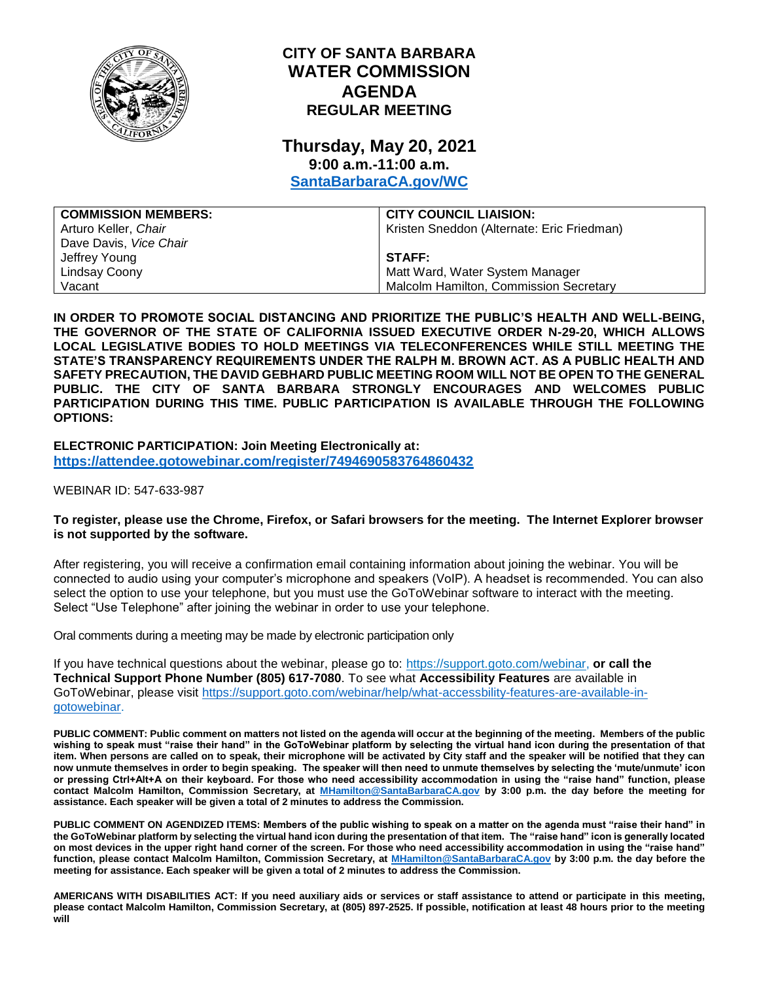

# **CITY OF SANTA BARBARA WATER COMMISSION AGENDA REGULAR MEETING**

# **Thursday, May 20, 2021 9:00 a.m.-11:00 a.m.**

**[SantaBarbaraCA.gov/WC](http://www.santabarbaraca.gov/wc)**

| <b>COMMISSION MEMBERS:</b> | <b>CITY COUNCIL LIAISION:</b>              |
|----------------------------|--------------------------------------------|
| Arturo Keller, Chair       | Kristen Sneddon (Alternate: Eric Friedman) |
| Dave Davis, Vice Chair     |                                            |
| Jeffrey Young              | <b>STAFF:</b>                              |
| Lindsay Coony              | Matt Ward, Water System Manager            |
| Vacant                     | Malcolm Hamilton, Commission Secretary     |

**IN ORDER TO PROMOTE SOCIAL DISTANCING AND PRIORITIZE THE PUBLIC'S HEALTH AND WELL-BEING, THE GOVERNOR OF THE STATE OF CALIFORNIA ISSUED EXECUTIVE ORDER N-29-20, WHICH ALLOWS LOCAL LEGISLATIVE BODIES TO HOLD MEETINGS VIA TELECONFERENCES WHILE STILL MEETING THE STATE'S TRANSPARENCY REQUIREMENTS UNDER THE RALPH M. BROWN ACT. AS A PUBLIC HEALTH AND SAFETY PRECAUTION, THE DAVID GEBHARD PUBLIC MEETING ROOM WILL NOT BE OPEN TO THE GENERAL PUBLIC. THE CITY OF SANTA BARBARA STRONGLY ENCOURAGES AND WELCOMES PUBLIC PARTICIPATION DURING THIS TIME. PUBLIC PARTICIPATION IS AVAILABLE THROUGH THE FOLLOWING OPTIONS:**

**ELECTRONIC PARTICIPATION: Join Meeting Electronically at: <https://attendee.gotowebinar.com/register/7494690583764860432>**

WEBINAR ID: 547-633-987

#### **To register, please use the Chrome, Firefox, or Safari browsers for the meeting. The Internet Explorer browser is not supported by the software.**

After registering, you will receive a confirmation email containing information about joining the webinar. You will be connected to audio using your computer's microphone and speakers (VoIP). A headset is recommended. You can also select the option to use your telephone, but you must use the GoToWebinar software to interact with the meeting. Select "Use Telephone" after joining the webinar in order to use your telephone.

Oral comments during a meeting may be made by electronic participation only

If you have technical questions about the webinar, please go to: [https://support.goto.com/webinar,](https://support.goto.com/webinar) **or call the Technical Support Phone Number (805) 617-7080**. To see what **Accessibility Features** are available in GoToWebinar, please visit [https://support.goto.com/webinar/help/what-accessbility-features-are-available-in](https://support.goto.com/webinar/help/what-accessbility-features-are-available-in-gotowebinar)[gotowebinar.](https://support.goto.com/webinar/help/what-accessbility-features-are-available-in-gotowebinar)

**PUBLIC COMMENT: Public comment on matters not listed on the agenda will occur at the beginning of the meeting. Members of the public wishing to speak must "raise their hand" in the GoToWebinar platform by selecting the virtual hand icon during the presentation of that item. When persons are called on to speak, their microphone will be activated by City staff and the speaker will be notified that they can now unmute themselves in order to begin speaking. The speaker will then need to unmute themselves by selecting the 'mute/unmute' icon or pressing Ctrl+Alt+A on their keyboard. For those who need accessibility accommodation in using the "raise hand" function, please contact Malcolm Hamilton, Commission Secretary, at [MHamilton@SantaBarbaraCA.gov](mailto:MHamilton@SantaBarbaraCA.gov) by 3:00 p.m. the day before the meeting for assistance. Each speaker will be given a total of 2 minutes to address the Commission.** 

**PUBLIC COMMENT ON AGENDIZED ITEMS: Members of the public wishing to speak on a matter on the agenda must "raise their hand" in the GoToWebinar platform by selecting the virtual hand icon during the presentation of that item. The "raise hand" icon is generally located on most devices in the upper right hand corner of the screen. For those who need accessibility accommodation in using the "raise hand" function, please contact Malcolm Hamilton, Commission Secretary, at [MHamilton@SantaBarbaraCA.gov](mailto:MHamilton@SantaBarbaraCA.gov) by 3:00 p.m. the day before the meeting for assistance. Each speaker will be given a total of 2 minutes to address the Commission.** 

**AMERICANS WITH DISABILITIES ACT: If you need auxiliary aids or services or staff assistance to attend or participate in this meeting, please contact Malcolm Hamilton, Commission Secretary, at (805) 897-2525. If possible, notification at least 48 hours prior to the meeting will**